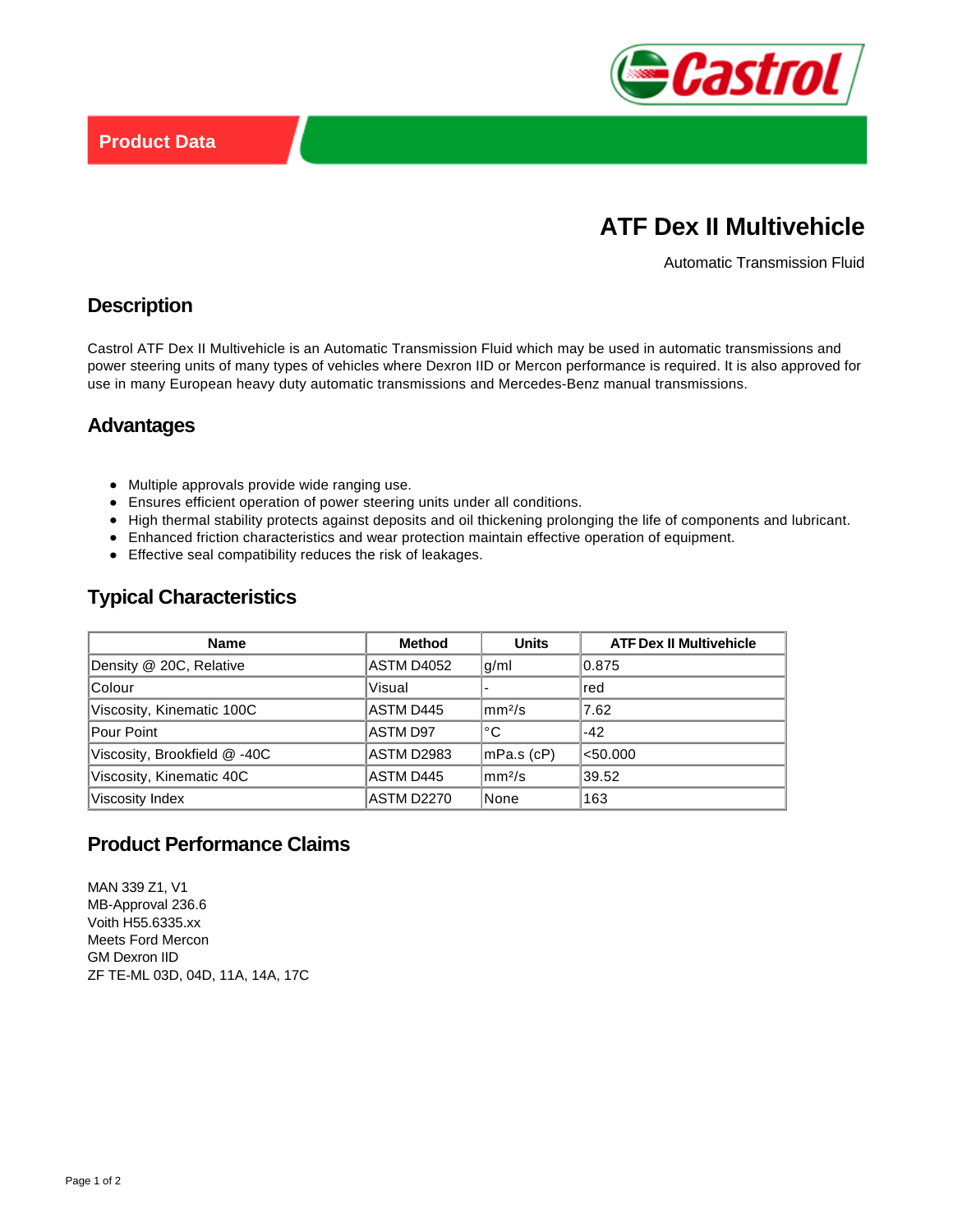

# **ATF Dex II Multivehicle**

Automatic Transmission Fluid

## **Description**

Castrol ATF Dex II Multivehicle is an Automatic Transmission Fluid which may be used in automatic transmissions and power steering units of many types of vehicles where Dexron IID or Mercon performance is required. It is also approved for use in many European heavy duty automatic transmissions and Mercedes-Benz manual transmissions.

## **Advantages**

- Multiple approvals provide wide ranging use.
- Ensures efficient operation of power steering units under all conditions.
- High thermal stability protects against deposits and oil thickening prolonging the life of components and lubricant.
- Enhanced friction characteristics and wear protection maintain effective operation of equipment.
- Effective seal compatibility reduces the risk of leakages.

## **Typical Characteristics**

| <b>Name</b>                  | Method          | <b>Units</b>         | <b>ATF Dex II Multivehicle</b> |
|------------------------------|-----------------|----------------------|--------------------------------|
| Density @ 20C, Relative      | ASTM D4052      | g/ml                 | 0.875                          |
| Colour                       | Visual          |                      | ∣red                           |
| Viscosity, Kinematic 100C    | ASTM D445       | mm <sup>2</sup> /s   | 7.62                           |
| Pour Point                   | <b>ASTM D97</b> | °C                   | $-42$                          |
| Viscosity, Brookfield @ -40C | ASTM D2983      | mPa.s (cP)           | < 50.000                       |
| Viscosity, Kinematic 40C     | ASTM D445       | $\rm{mm}^{2}/\rm{s}$ | 39.52                          |
| Viscosity Index              | ASTM D2270      | None                 | 163                            |

## **Product Performance Claims**

MAN 339 Z1, V1 MB-Approval 236.6 Voith H55.6335.xx Meets Ford Mercon GM Dexron IID ZF TE-ML 03D, 04D, 11A, 14A, 17C